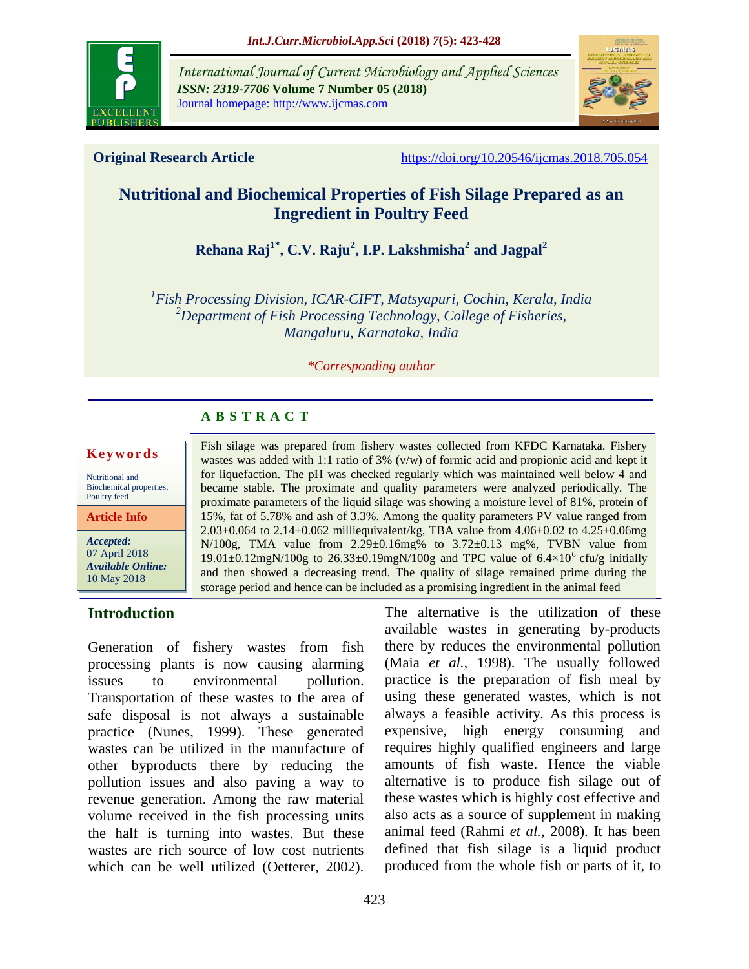

*International Journal of Current Microbiology and Applied Sciences ISSN: 2319-7706* **Volume 7 Number 05 (2018)**  Journal homepage: http://www.ijcmas.com



**Original Research Article** <https://doi.org/10.20546/ijcmas.2018.705.054>

# **Nutritional and Biochemical Properties of Fish Silage Prepared as an Ingredient in Poultry Feed**

**Rehana Raj1\* , C.V. Raju<sup>2</sup> , I.P. Lakshmisha<sup>2</sup> and Jagpal<sup>2</sup>**

*1 Fish Processing Division, ICAR-CIFT, Matsyapuri, Cochin, Kerala, India <sup>2</sup>Department of Fish Processing Technology, College of Fisheries, Mangaluru, Karnataka, India*

#### *\*Corresponding author*

Fish silage was prepared from fishery wastes collected from KFDC Karnataka. Fishery wastes was added with 1:1 ratio of 3% (v/w) of formic acid and propionic acid and kept it for liquefaction. The pH was checked regularly which was maintained well below 4 and became stable. The proximate and quality parameters were analyzed periodically. The proximate parameters of the liquid silage was showing a moisture level of 81%, protein of 15%, fat of 5.78% and ash of 3.3%. Among the quality parameters PV value ranged from  $2.03\pm0.064$  to  $2.14\pm0.062$  milliequivalent/kg, TBA value from  $4.06\pm0.02$  to  $4.25\pm0.06$ mg N/100g, TMA value from 2.29±0.16mg% to 3.72±0.13 mg%, TVBN value from 19.01 $\pm$ 0.12mgN/100g to 26.33 $\pm$ 0.19mgN/100g and TPC value of 6.4 $\times$ 10<sup>6</sup> cfu/g initially and then showed a decreasing trend. The quality of silage remained prime during the storage period and hence can be included as a promising ingredient in the animal feed

# **A B S T R A C T**

# **K e y w o rd s**

Nutritional and Biochemical properties, Poultry feed

**Article Info**

*Accepted:*  07 April 2018 *Available Online:* 10 May 2018

# **Introduction**

Generation of fishery wastes from fish processing plants is now causing alarming issues to environmental pollution. Transportation of these wastes to the area of safe disposal is not always a sustainable practice (Nunes, 1999). These generated wastes can be utilized in the manufacture of other byproducts there by reducing the pollution issues and also paving a way to revenue generation. Among the raw material volume received in the fish processing units the half is turning into wastes. But these wastes are rich source of low cost nutrients which can be well utilized (Oetterer, 2002).

The alternative is the utilization of these available wastes in generating by-products there by reduces the environmental pollution (Maia *et al.,* 1998). The usually followed practice is the preparation of fish meal by using these generated wastes, which is not always a feasible activity. As this process is expensive, high energy consuming and requires highly qualified engineers and large amounts of fish waste. Hence the viable alternative is to produce fish silage out of these wastes which is highly cost effective and also acts as a source of supplement in making animal feed (Rahmi *et al.,* 2008). It has been defined that fish silage is a liquid product produced from the whole fish or parts of it, to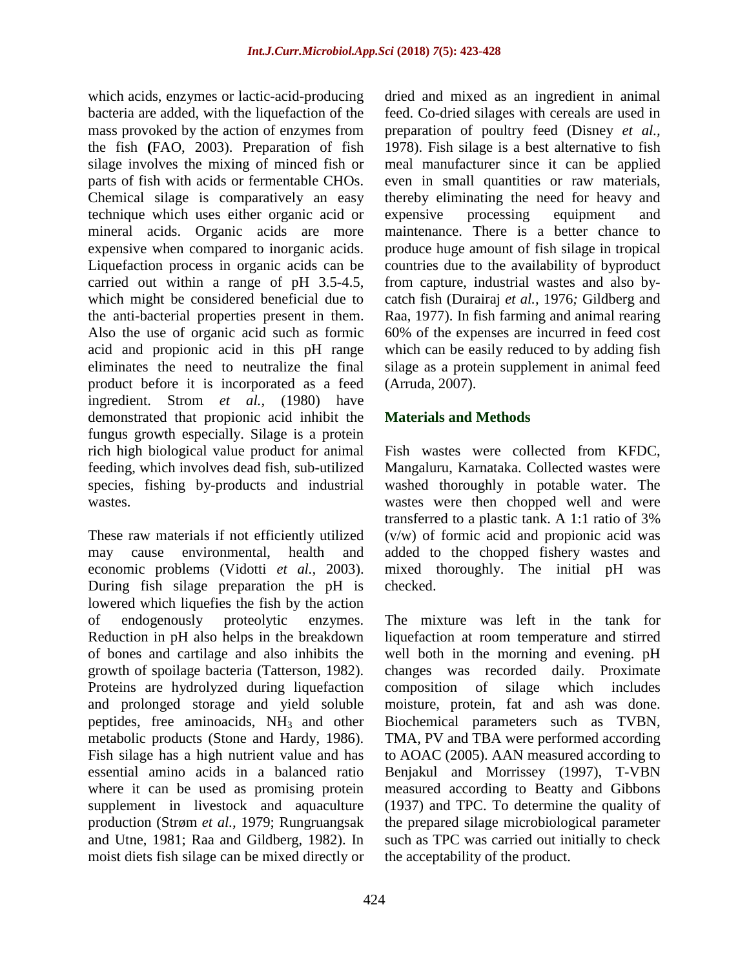which acids, enzymes or lactic-acid-producing bacteria are added, with the liquefaction of the mass provoked by the action of enzymes from the fish **(**FAO, 2003). Preparation of fish silage involves the mixing of minced fish or parts of fish with acids or fermentable CHOs. Chemical silage is comparatively an easy technique which uses either organic acid or mineral acids. Organic acids are more expensive when compared to inorganic acids. Liquefaction process in organic acids can be carried out within a range of pH 3.5-4.5, which might be considered beneficial due to the anti-bacterial properties present in them. Also the use of organic acid such as formic acid and propionic acid in this pH range eliminates the need to neutralize the final product before it is incorporated as a feed ingredient. Strom *et al.,* (1980) have demonstrated that propionic acid inhibit the fungus growth especially. Silage is a protein rich high biological value product for animal feeding, which involves dead fish, sub-utilized species, fishing by-products and industrial wastes.

These raw materials if not efficiently utilized may cause environmental, health and economic problems (Vidotti *et al.,* 2003). During fish silage preparation the pH is lowered which liquefies the fish by the action of endogenously proteolytic enzymes. Reduction in pH also helps in the breakdown of bones and cartilage and also inhibits the growth of spoilage bacteria (Tatterson, 1982). Proteins are hydrolyzed during liquefaction and prolonged storage and yield soluble peptides, free aminoacids,  $NH<sub>3</sub>$  and other metabolic products (Stone and Hardy, 1986). Fish silage has a high nutrient value and has essential amino acids in a balanced ratio where it can be used as promising protein supplement in livestock and aquaculture production (Strøm *et al.,* 1979; Rungruangsak and Utne, 1981; Raa and Gildberg, 1982). In moist diets fish silage can be mixed directly or

dried and mixed as an ingredient in animal feed. Co-dried silages with cereals are used in preparation of poultry feed (Disney *et al.,* 1978). Fish silage is a best alternative to fish meal manufacturer since it can be applied even in small quantities or raw materials, thereby eliminating the need for heavy and expensive processing equipment and maintenance. There is a better chance to produce huge amount of fish silage in tropical countries due to the availability of byproduct from capture, industrial wastes and also bycatch fish (Durairaj *et al.,* 1976*;* Gildberg and Raa, 1977). In fish farming and animal rearing 60% of the expenses are incurred in feed cost which can be easily reduced to by adding fish silage as a protein supplement in animal feed (Arruda, 2007).

# **Materials and Methods**

Fish wastes were collected from KFDC, Mangaluru, Karnataka. Collected wastes were washed thoroughly in potable water. The wastes were then chopped well and were transferred to a plastic tank. A 1:1 ratio of 3% (v/w) of formic acid and propionic acid was added to the chopped fishery wastes and mixed thoroughly. The initial pH was checked.

The mixture was left in the tank for liquefaction at room temperature and stirred well both in the morning and evening. pH changes was recorded daily. Proximate composition of silage which includes moisture, protein, fat and ash was done. Biochemical parameters such as TVBN, TMA, PV and TBA were performed according to AOAC (2005). AAN measured according to Benjakul and Morrissey (1997), T-VBN measured according to Beatty and Gibbons (1937) and TPC. To determine the quality of the prepared silage microbiological parameter such as TPC was carried out initially to check the acceptability of the product.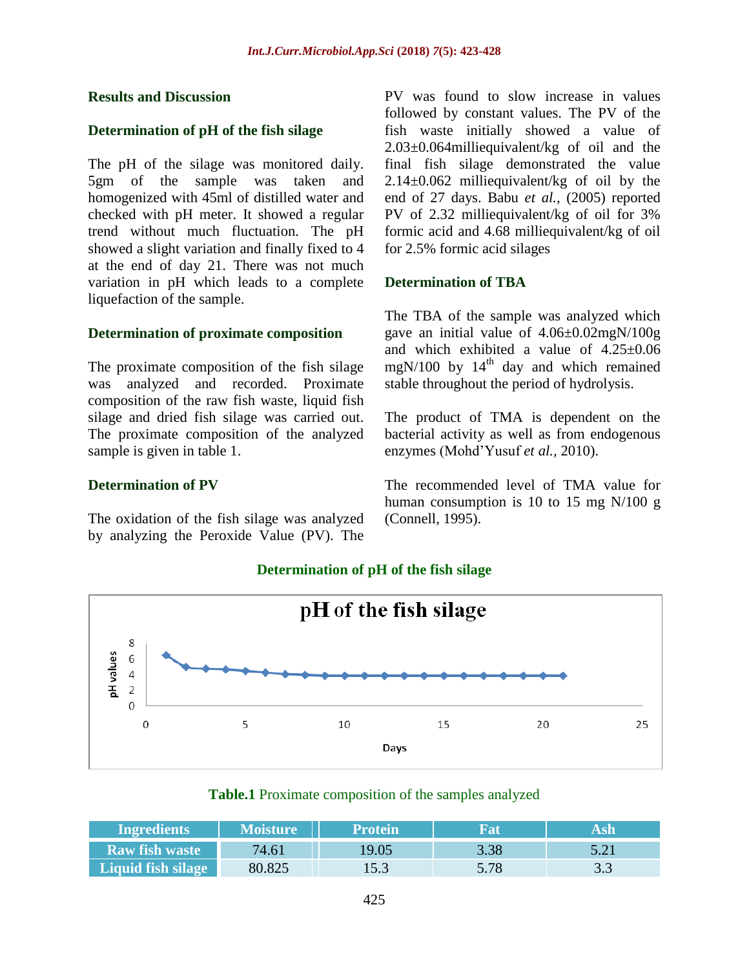#### **Results and Discussion**

#### **Determination of pH of the fish silage**

The pH of the silage was monitored daily. 5gm of the sample was taken and homogenized with 45ml of distilled water and checked with pH meter. It showed a regular trend without much fluctuation. The pH showed a slight variation and finally fixed to 4 at the end of day 21. There was not much variation in pH which leads to a complete liquefaction of the sample.

#### **Determination of proximate composition**

The proximate composition of the fish silage was analyzed and recorded. Proximate composition of the raw fish waste, liquid fish silage and dried fish silage was carried out. The proximate composition of the analyzed sample is given in table 1.

#### **Determination of PV**

The oxidation of the fish silage was analyzed by analyzing the Peroxide Value (PV). The

PV was found to slow increase in values followed by constant values. The PV of the fish waste initially showed a value of 2.03±0.064milliequivalent/kg of oil and the final fish silage demonstrated the value 2.14±0.062 milliequivalent/kg of oil by the end of 27 days. Babu *et al.,* (2005) reported PV of 2.32 milliequivalent/kg of oil for 3% formic acid and 4.68 milliequivalent/kg of oil for 2.5% formic acid silages

#### **Determination of TBA**

The TBA of the sample was analyzed which gave an initial value of 4.06±0.02mgN/100g and which exhibited a value of 4.25±0.06 mgN/100 by  $14<sup>th</sup>$  day and which remained stable throughout the period of hydrolysis.

The product of TMA is dependent on the bacterial activity as well as from endogenous enzymes (Mohd'Yusuf *et al.,* 2010).

The recommended level of TMA value for human consumption is 10 to 15 mg N/100 g (Connell, 1995).



### **Determination of pH of the fish silage**

# **Table.1** Proximate composition of the samples analyzed

| <b>Ingredients</b>    | <b>Moisture</b> | <b>Protein</b> |      |      |
|-----------------------|-----------------|----------------|------|------|
| <b>Raw fish waste</b> | 74.61           | 19.05          | 3.38 | 5 21 |
| Liquid fish silage    | 80.825          | 15.3           | 5.78 |      |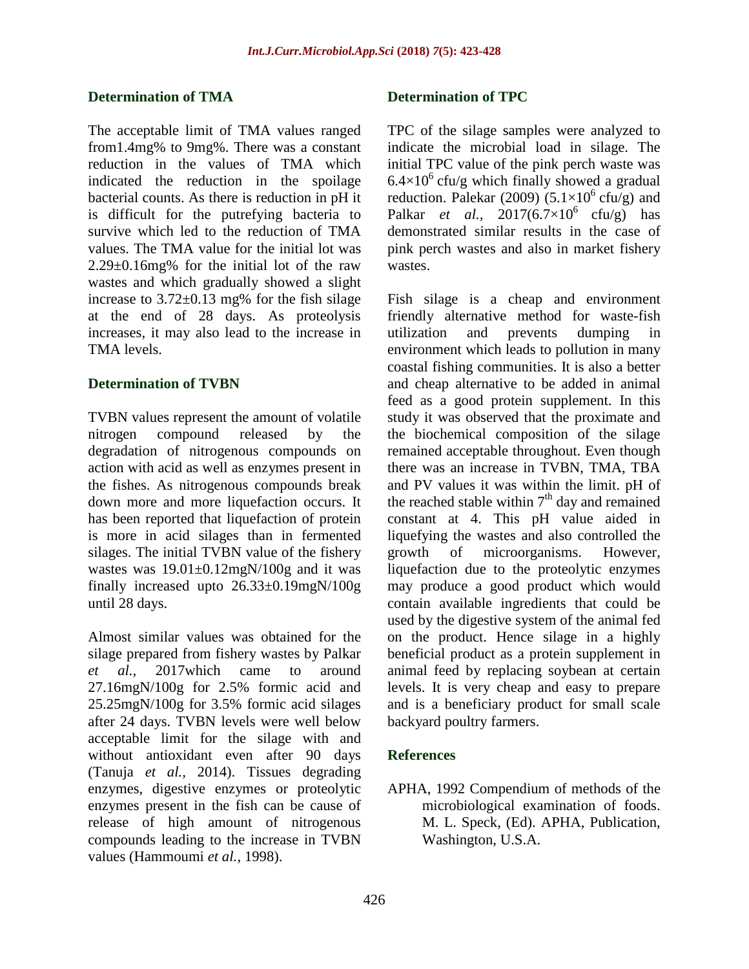# **Determination of TMA**

The acceptable limit of TMA values ranged from1.4mg% to 9mg%. There was a constant reduction in the values of TMA which indicated the reduction in the spoilage bacterial counts. As there is reduction in pH it is difficult for the putrefying bacteria to survive which led to the reduction of TMA values. The TMA value for the initial lot was 2.29±0.16mg% for the initial lot of the raw wastes and which gradually showed a slight increase to  $3.72 \pm 0.13$  mg% for the fish silage at the end of 28 days. As proteolysis increases, it may also lead to the increase in TMA levels.

# **Determination of TVBN**

TVBN values represent the amount of volatile nitrogen compound released by the degradation of nitrogenous compounds on action with acid as well as enzymes present in the fishes. As nitrogenous compounds break down more and more liquefaction occurs. It has been reported that liquefaction of protein is more in acid silages than in fermented silages. The initial TVBN value of the fishery wastes was 19.01±0.12mgN/100g and it was finally increased upto 26.33±0.19mgN/100g until 28 days.

Almost similar values was obtained for the silage prepared from fishery wastes by Palkar *et al.,* 2017which came to around 27.16mgN/100g for 2.5% formic acid and 25.25mgN/100g for 3.5% formic acid silages after 24 days. TVBN levels were well below acceptable limit for the silage with and without antioxidant even after 90 days (Tanuja *et al.,* 2014). Tissues degrading enzymes, digestive enzymes or proteolytic enzymes present in the fish can be cause of release of high amount of nitrogenous compounds leading to the increase in TVBN values (Hammoumi *et al.,* 1998).

# **Determination of TPC**

TPC of the silage samples were analyzed to indicate the microbial load in silage. The initial TPC value of the pink perch waste was  $6.4\times10^{6}$  cfu/g which finally showed a gradual reduction. Palekar (2009)  $(5.1 \times 10^6 \text{ cfu/g})$  and Palkar *et al.*,  $2017(6.7\times10^6 \text{ cfu/g})$  has demonstrated similar results in the case of pink perch wastes and also in market fishery wastes.

Fish silage is a cheap and environment friendly alternative method for waste-fish utilization and prevents dumping in environment which leads to pollution in many coastal fishing communities. It is also a better and cheap alternative to be added in animal feed as a good protein supplement. In this study it was observed that the proximate and the biochemical composition of the silage remained acceptable throughout. Even though there was an increase in TVBN, TMA, TBA and PV values it was within the limit. pH of the reached stable within  $7<sup>th</sup>$  day and remained constant at 4. This pH value aided in liquefying the wastes and also controlled the growth of microorganisms. However, liquefaction due to the proteolytic enzymes may produce a good product which would contain available ingredients that could be used by the digestive system of the animal fed on the product. Hence silage in a highly beneficial product as a protein supplement in animal feed by replacing soybean at certain levels. It is very cheap and easy to prepare and is a beneficiary product for small scale backyard poultry farmers.

# **References**

APHA, 1992 Compendium of methods of the microbiological examination of foods. M. L. Speck, (Ed). APHA, Publication, Washington, U.S.A.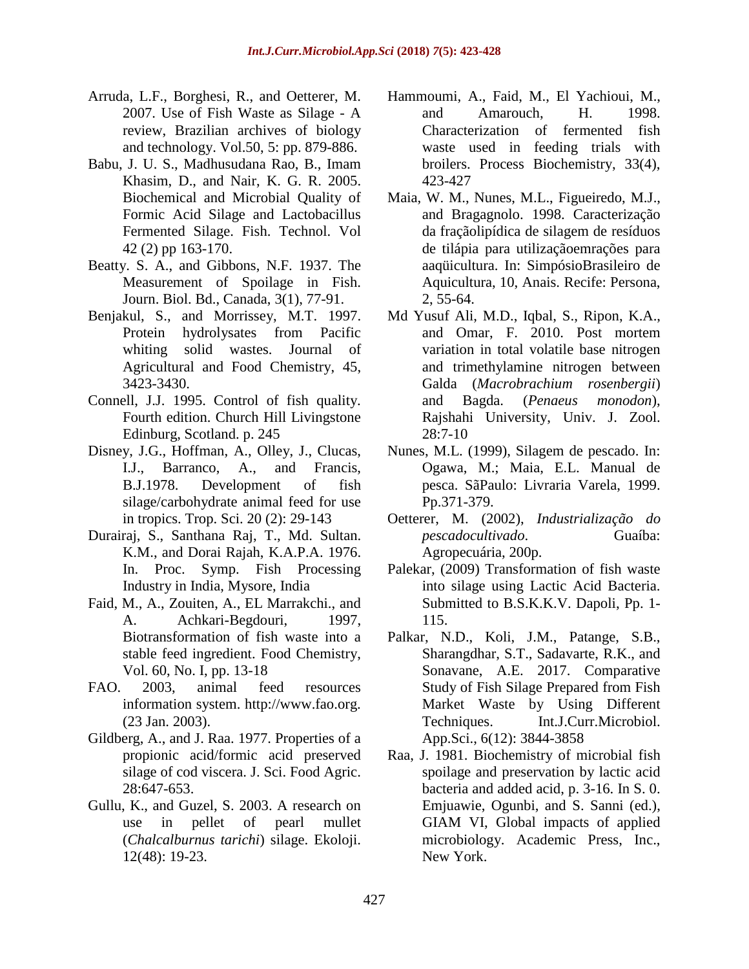- Arruda, L.F., Borghesi, R., and Oetterer, M. 2007. Use of Fish Waste as Silage - A review, Brazilian archives of biology and technology. Vol.50, 5: pp. 879-886.
- Babu, J. U. S., Madhusudana Rao, B., Imam Khasim, D., and Nair, K. G. R. 2005. Biochemical and Microbial Quality of Formic Acid Silage and Lactobacillus Fermented Silage. Fish. Technol. Vol 42 (2) pp 163-170.
- Beatty. S. A., and Gibbons, N.F. 1937. The Measurement of Spoilage in Fish. Journ. Biol. Bd., Canada, 3(1), 77-91.
- Benjakul, S., and Morrissey, M.T. 1997. Protein hydrolysates from Pacific whiting solid wastes. Journal of Agricultural and Food Chemistry, 45, 3423-3430.
- Connell, J.J. 1995. Control of fish quality. Fourth edition. Church Hill Livingstone Edinburg, Scotland. p. 245
- Disney, J.G., Hoffman, A., Olley, J., Clucas, I.J., Barranco, A., and Francis, B.J.1978. Development of fish silage/carbohydrate animal feed for use in tropics. Trop. Sci. 20 (2): 29-143
- Durairaj, S., Santhana Raj, T., Md. Sultan. K.M., and Dorai Rajah, K.A.P.A. 1976. In. Proc. Symp. Fish Processing Industry in India, Mysore, India
- Faid, M., A., Zouiten, A., EL Marrakchi., and A. Achkari-Begdouri, 1997, Biotransformation of fish waste into a stable feed ingredient. Food Chemistry, Vol. 60, No. I, pp. 13-18
- FAO. 2003, animal feed resources information system. http://www.fao.org. (23 Jan. 2003).
- Gildberg, A., and J. Raa. 1977. Properties of a propionic acid/formic acid preserved silage of cod viscera. J. Sci. Food Agric. 28:647-653.
- Gullu, K., and Guzel, S. 2003. A research on use in pellet of pearl mullet (*Chalcalburnus tarichi*) silage. Ekoloji. 12(48): 19-23.
- Hammoumi, A., Faid, M., El Yachioui, M., and Amarouch, H. 1998. Characterization of fermented fish waste used in feeding trials with broilers. Process Biochemistry, 33(4), 423-427
- Maia, W. M., Nunes, M.L., Figueiredo, M.J., and Bragagnolo. 1998. Caracterização da fraçãolipídica de silagem de resíduos de tilápia para utilizaçãoemrações para aaqüicultura. In: SimpósioBrasileiro de Aquicultura, 10, Anais. Recife: Persona, 2, 55-64.
- Md Yusuf Ali, M.D., Iqbal, S., Ripon, K.A., and Omar, F. 2010. Post mortem variation in total volatile base nitrogen and trimethylamine nitrogen between Galda (*Macrobrachium rosenbergii*) and Bagda. (*Penaeus monodon*), Rajshahi University, Univ. J. Zool.  $28:7-10$
- Nunes, M.L. (1999), Silagem de pescado. In: Ogawa, M.; Maia, E.L. Manual de pesca. SãPaulo: Livraria Varela, 1999. Pp.371-379.
- Oetterer, M. (2002), *Industrialização do pescadocultivado*. Guaíba: Agropecuária, 200p.
- Palekar, (2009) Transformation of fish waste into silage using Lactic Acid Bacteria. Submitted to B.S.K.K.V. Dapoli, Pp. 1- 115.
- Palkar, N.D., Koli, J.M., Patange, S.B., Sharangdhar, S.T., Sadavarte, R.K., and Sonavane, A.E. 2017. Comparative Study of Fish Silage Prepared from Fish Market Waste by Using Different Techniques. Int.J.Curr.Microbiol. App.Sci., 6(12): 3844-3858
- Raa, J. 1981. Biochemistry of microbial fish spoilage and preservation by lactic acid bacteria and added acid, p. 3-16. In S. 0. Emjuawie, Ogunbi, and S. Sanni (ed.), GIAM VI, Global impacts of applied microbiology. Academic Press, Inc., New York.